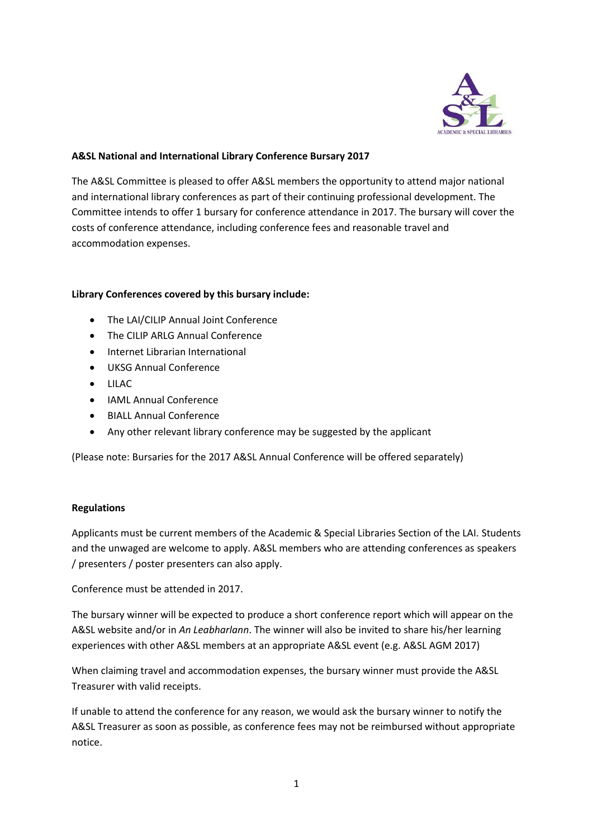

### **A&SL National and International Library Conference Bursary 2017**

The A&SL Committee is pleased to offer A&SL members the opportunity to attend major national and international library conferences as part of their continuing professional development. The Committee intends to offer 1 bursary for conference attendance in 2017. The bursary will cover the costs of conference attendance, including conference fees and reasonable travel and accommodation expenses.

#### **Library Conferences covered by this bursary include:**

- The LAI/CILIP Annual Joint Conference
- The CILIP ARLG Annual Conference
- Internet Librarian International
- UKSG Annual Conference
- LILAC
- IAML Annual Conference
- BIALL Annual Conference
- Any other relevant library conference may be suggested by the applicant

(Please note: Bursaries for the 2017 A&SL Annual Conference will be offered separately)

#### **Regulations**

Applicants must be current members of the Academic & Special Libraries Section of the LAI. Students and the unwaged are welcome to apply. A&SL members who are attending conferences as speakers / presenters / poster presenters can also apply.

Conference must be attended in 2017.

The bursary winner will be expected to produce a short conference report which will appear on the A&SL website and/or in *An Leabharlann*. The winner will also be invited to share his/her learning experiences with other A&SL members at an appropriate A&SL event (e.g. A&SL AGM 2017)

When claiming travel and accommodation expenses, the bursary winner must provide the A&SL Treasurer with valid receipts.

If unable to attend the conference for any reason, we would ask the bursary winner to notify the A&SL Treasurer as soon as possible, as conference fees may not be reimbursed without appropriate notice.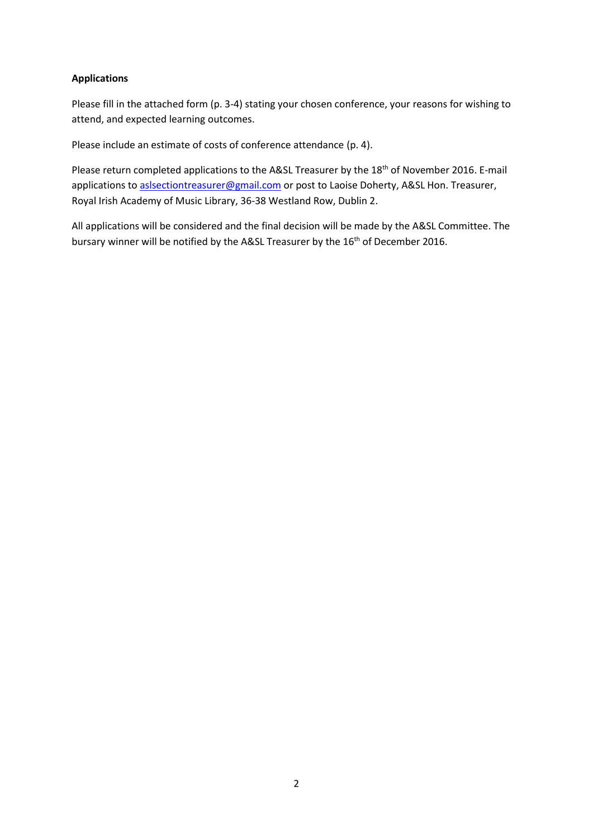### **Applications**

Please fill in the attached form (p. 3-4) stating your chosen conference, your reasons for wishing to attend, and expected learning outcomes.

Please include an estimate of costs of conference attendance (p. 4).

Please return completed applications to the A&SL Treasurer by the 18<sup>th</sup> of November 2016. E-mail applications to [aslsectiontreasurer@gmail.com](mailto:aslsectiontreasurer@gmail.com) or post to Laoise Doherty, A&SL Hon. Treasurer, Royal Irish Academy of Music Library, 36-38 Westland Row, Dublin 2.

All applications will be considered and the final decision will be made by the A&SL Committee. The bursary winner will be notified by the A&SL Treasurer by the 16<sup>th</sup> of December 2016.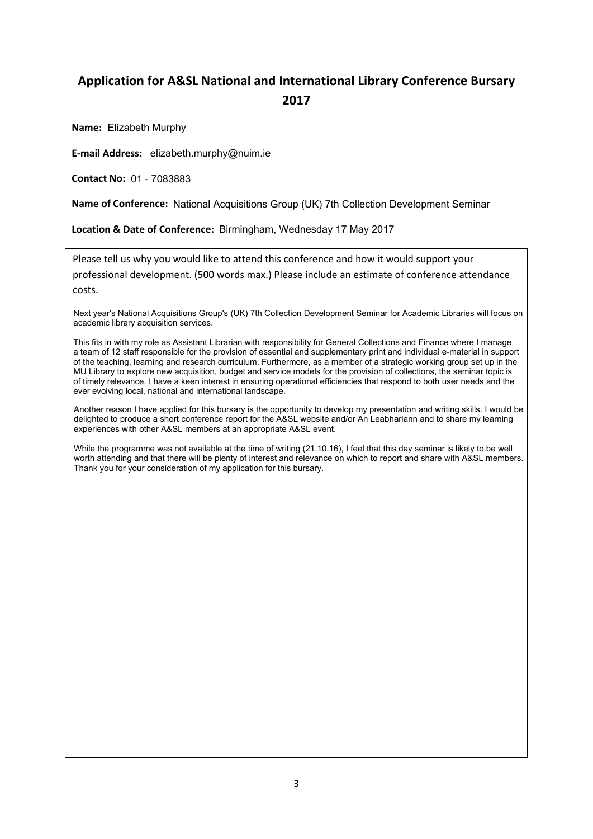# **Application for A&SL National and International Library Conference Bursary 2017**

**Name:** Elizabeth Murphy

**E-mail Address:** elizabeth.murphy@nuim.ie

**Contact No:**  01 - 7083883

Name of Conference: National Acquisitions Group (UK) 7th Collection Development Seminar

**Location & Date of Conference:** Birmingham, Wednesday 17 May 2017

Please tell us why you would like to attend this conference and how it would support your professional development. (500 words max.) Please include an estimate of conference attendance costs.

Next year's National Acquisitions Group's (UK) 7th Collection Development Seminar for Academic Libraries will focus on academic library acquisition services.

This fits in with my role as Assistant Librarian with responsibility for General Collections and Finance where I manage a team of 12 staff responsible for the provision of essential and supplementary print and individual e-material in support of the teaching, learning and research curriculum. Furthermore, as a member of a strategic working group set up in the MU Library to explore new acquisition, budget and service models for the provision of collections, the seminar topic is of timely relevance. I have a keen interest in ensuring operational efficiencies that respond to both user needs and the ever evolving local, national and international landscape.

Another reason I have applied for this bursary is the opportunity to develop my presentation and writing skills. I would be delighted to produce a short conference report for the A&SL website and/or An Leabharlann and to share my learning experiences with other A&SL members at an appropriate A&SL event.

While the programme was not available at the time of writing (21.10.16), I feel that this day seminar is likely to be well worth attending and that there will be plenty of interest and relevance on which to report and share with A&SL members. Thank you for your consideration of my application for this bursary.